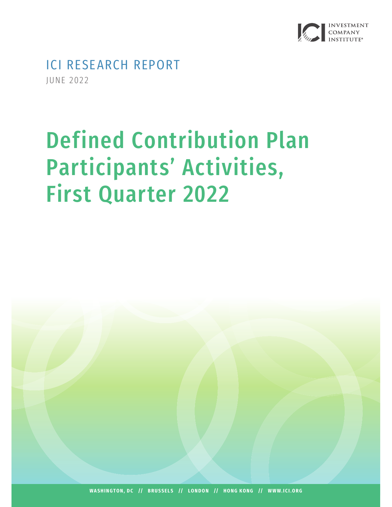

ICI RESEARCH REPORT JUNE 2022

# Defined Contribution Plan Participants' Activities, First Quarter 2022

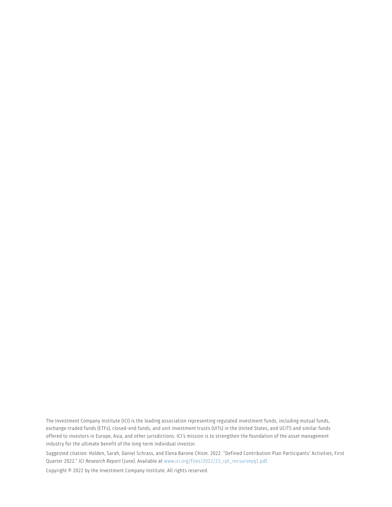The Investment Company Institute (ICI) is the leading association representing regulated investment funds, including mutual funds, exchange-traded funds (ETFs), closed-end funds, and unit investment trusts (UITs) in the United States, and UCITS and similar funds offered to investors in Europe, Asia, and other jurisdictions. ICI's mission is to strengthen the foundation of the asset management industry for the ultimate benefit of the long-term individual investor.

Suggested citation: Holden, Sarah, Daniel Schrass, and Elena Barone Chism. 2022. "Defined Contribution Plan Participants' Activities, First Quarter 2022." *ICI Research Report* (June). Available at [www.ici.org/files/2022/22\\_rpt\\_recsurveyq1.pdf](http://www.ici.org/files/2022/22_rpt_recsurveyq1.pdf).

Copyright © 2022 by the Investment Company Institute. All rights reserved.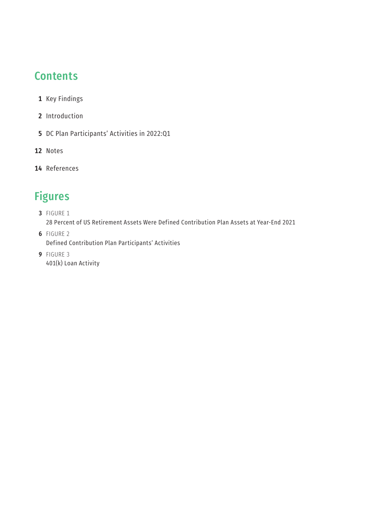# **Contents**

- Key Findings
- Introduction
- DC Plan Participants' Activities in 2022:Q1
- Notes
- References

# Figures

- FIGURE 1 28 Percent of US Retirement Assets Were Defined Contribution Plan Assets at Year-End 2021
- FIGURE 2 Defined Contribution Plan Participants' Activities
- FIGURE 3 401(k) Loan Activity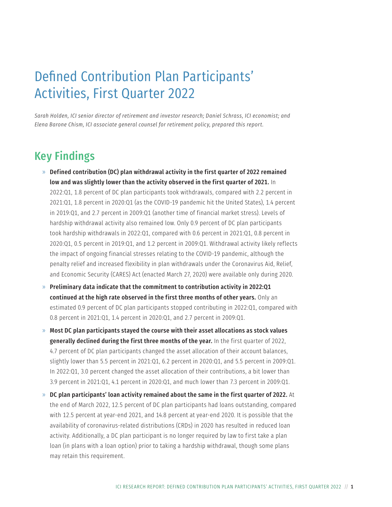# Defined Contribution Plan Participants' Activities, First Quarter 2022

*Sarah Holden, ICI senior director of retirement and investor research; Daniel Schrass, ICI economist; and Elena Barone Chism, ICI associate general counsel for retirement policy, prepared this report.*

# Key Findings

- $\gg$  Defined contribution (DC) plan withdrawal activity in the first quarter of 2022 remained low and was slightly lower than the activity observed in the first quarter of 2021. In 2022:Q1, 1.8 percent of DC plan participants took withdrawals, compared with 2.2 percent in 2021:Q1, 1.8 percent in 2020:Q1 (as the COVID-19 pandemic hit the United States), 1.4 percent in 2019:Q1, and 2.7 percent in 2009:Q1 (another time of financial market stress). Levels of hardship withdrawal activity also remained low. Only 0.9 percent of DC plan participants took hardship withdrawals in 2022:Q1, compared with 0.6 percent in 2021:Q1, 0.8 percent in 2020:Q1, 0.5 percent in 2019:Q1, and 1.2 percent in 2009:Q1. Withdrawal activity likely reflects the impact of ongoing financial stresses relating to the COVID-19 pandemic, although the penalty relief and increased flexibility in plan withdrawals under the Coronavirus Aid, Relief, and Economic Security (CARES) Act (enacted March 27, 2020) were available only during 2020.
- $\gg$  Preliminary data indicate that the commitment to contribution activity in 2022:Q1 continued at the high rate observed in the first three months of other years. Only an estimated 0.9 percent of DC plan participants stopped contributing in 2022:Q1, compared with 0.8 percent in 2021:Q1, 1.4 percent in 2020:Q1, and 2.7 percent in 2009:Q1.
- $\gg$  Most DC plan participants stayed the course with their asset allocations as stock values generally declined during the first three months of the year. In the first quarter of 2022, 4.7 percent of DC plan participants changed the asset allocation of their account balances, slightly lower than 5.5 percent in 2021:Q1, 6.2 percent in 2020:Q1, and 5.5 percent in 2009:Q1. In 2022:Q1, 3.0 percent changed the asset allocation of their contributions, a bit lower than 3.9 percent in 2021:Q1, 4.1 percent in 2020:Q1, and much lower than 7.3 percent in 2009:Q1.
- $\gg$  DC plan participants' loan activity remained about the same in the first quarter of 2022. At the end of March 2022, 12.5 percent of DC plan participants had loans outstanding, compared with 12.5 percent at year-end 2021, and 14.8 percent at year-end 2020. It is possible that the availability of coronavirus-related distributions (CRDs) in 2020 has resulted in reduced loan activity. Additionally, a DC plan participant is no longer required by law to first take a plan loan (in plans with a loan option) prior to taking a hardship withdrawal, though some plans may retain this requirement.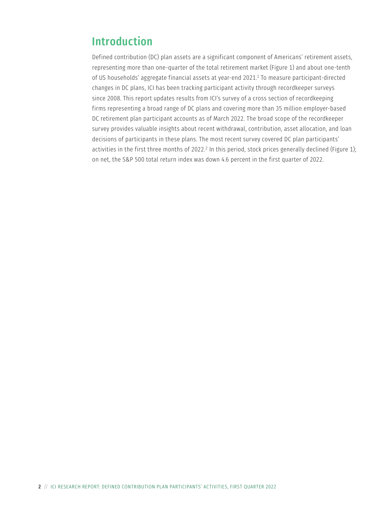# <span id="page-5-0"></span>Introduction

Defined contribution (DC) plan assets are a significant component of Americans' retirement assets, representing more than one-quarter of the total retirement market (Figure 1) and about one-tenth of US households' aggregate financial assets at year-end 2021.[1](#page-15-0) To measure participant-directed changes in DC plans, ICI has been tracking participant activity through recordkeeper surveys since 2008. This report updates results from ICI's survey of a cross section of recordkeeping firms representing a broad range of DC plans and covering more than 35 million employer-based DC retirement plan participant accounts as of March 2022. The broad scope of the recordkeeper survey provides valuable insights about recent withdrawal, contribution, asset allocation, and loan decisions of participants in these plans. The most recent survey covered DC plan participants' activities in the first three months of [2](#page-15-0)022.<sup>2</sup> In this period, stock prices generally declined (Figure 1); on net, the S&P 500 total return index was down 4.6 percent in the first quarter of 2022.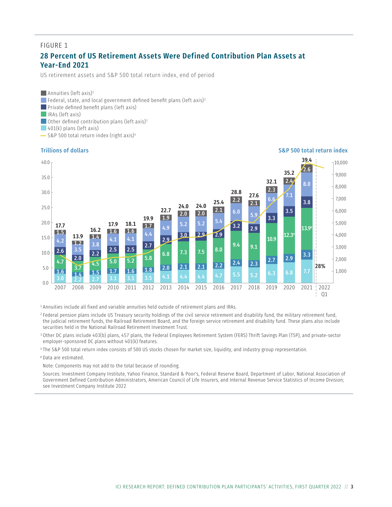#### FIGURE 1

#### **28 Percent of US Retirement Assets Were Defined Contribution Plan Assets at Year-End 2021**

US retirement assets and S&P 500 total return index, end of period

**Annuities (left axis)**<sup>1</sup> **Federal, state, and local government defined benefit plans (left axis)**<sup>2</sup> **Private defined benefit plans (left axis)**  $\Box$  IRAs (left axis) Other defined contribution plans (left axis)<sup>3</sup>  $\vert$  401(k) plans (left axis)

 $\sim$  S&P 500 total return index (right axis)<sup>4</sup>



<sup>1</sup> Annuities include all fixed and variable annuities held outside of retirement plans and IRAs.

<sup>2</sup> Federal pension plans include US Treasury security holdings of the civil service retirement and disability fund, the military retirement fund, the judicial retirement funds, the Railroad Retirement Board, and the foreign service retirement and disability fund. These plans also include securities held in the National Railroad Retirement Investment Trust.

<sup>3</sup> Other DC plans include 403(b) plans, 457 plans, the Federal Employees Retirement System (FERS) Thrift Savings Plan (TSP), and private-sector employer-sponsored DC plans without 401(k) features.

<sup>4</sup> The S&P 500 total return index consists of 500 US stocks chosen for market size, liquidity, and industry group representation.

<sup>e</sup> Data are estimated.

Note: Components may not add to the total because of rounding.

Sources: Investment Company Institute, Yahoo Finance, Standard & Poor's, Federal Reserve Board, Department of Labor, National Association of Government Defined Contribution Administrators, American Council of Life Insurers, and Internal Revenue Service Statistics of Income Division; see Investment Company Institute 2022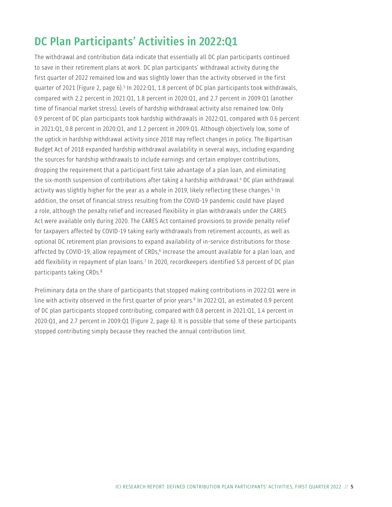# <span id="page-8-0"></span>DC Plan Participants' Activities in 2022:Q1

The withdrawal and contribution data indicate that essentially all DC plan participants continued to save in their retirement plans at work. DC plan participants' withdrawal activity during the first quarter of 2022 remained low and was slightly lower than the activity observed in the first quarter of 2021 (Figure 2, page 6).<sup>3</sup> In 2022:Q1, 1.8 percent of DC plan participants took withdrawals, compared with 2.2 percent in 2021:Q1, 1.8 percent in 2020:Q1, and 2.7 percent in 2009:Q1 (another time of financial market stress). Levels of hardship withdrawal activity also remained low. Only 0.9 percent of DC plan participants took hardship withdrawals in 2022:Q1, compared with 0.6 percent in 2021:Q1, 0.8 percent in 2020:Q1, and 1.2 percent in 2009:Q1. Although objectively low, some of the uptick in hardship withdrawal activity since 2018 may reflect changes in policy. The Bipartisan Budget Act of 2018 expanded hardship withdrawal availability in several ways, including expanding the sources for hardship withdrawals to include earnings and certain employer contributions, dropping the requirement that a participant first take advantage of a plan loan, and eliminating the six-month suspension of contributions after taking a hardship withdrawal.<sup>4</sup> DC plan withdrawal activity was slightly higher for the year as a whole in 2019, likely reflecting these changes.<sup>[5](#page-15-0)</sup> In addition, the onset of financial stress resulting from the COVID-19 pandemic could have played a role, although the penalty relief and increased flexibility in plan withdrawals under the CARES Act were available only during 2020. The CARES Act contained provisions to provide penalty relief for taxpayers affected by COVID-19 taking early withdrawals from retirement accounts, as well as optional DC retirement plan provisions to expand availability of in-service distributions for those affected by COVID-19, allow repayment of CRDs,<sup>6</sup> increase the amount available for a plan loan, and add flexibility in repayment of plan loans[.7](#page-16-0) In 2020, recordkeepers identified 5.8 percent of DC plan participants taking CRDs.[8](#page-16-0)

Preliminary data on the share of participants that stopped making contributions in 2022:Q1 were in line with activity observed in the first quarter of prior years[.9](#page-16-0) In 2022:Q1, an estimated 0.9 percent of DC plan participants stopped contributing, compared with 0.8 percent in 2021:Q1, 1.4 percent in 2020:Q1, and 2.7 percent in 2009:Q1 (Figure 2, page 6). It is possible that some of these participants stopped contributing simply because they reached the annual contribution limit.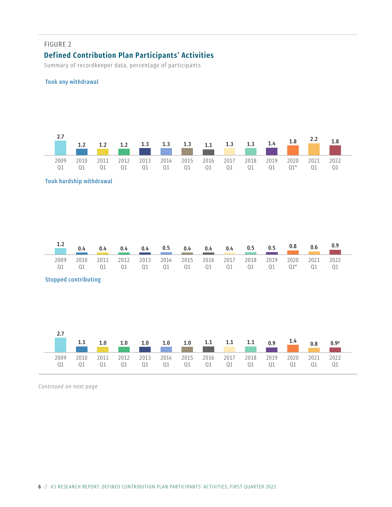#### FIGURE 2

#### **Defined Contribution Plan Participants' Activities**

Summary of recordkeeper data, percentage of participants

#### Took any withdrawal

|            |      |            |            |            |            | and the contract of the contract of the contract of the contract of the contract of the contract of the contract of the contract of the contract of the contract of the contract of the contract of the contract of the contra |       |            |            |            |               | 2.Z        |      |
|------------|------|------------|------------|------------|------------|--------------------------------------------------------------------------------------------------------------------------------------------------------------------------------------------------------------------------------|-------|------------|------------|------------|---------------|------------|------|
| 2009<br>01 | 2010 | 2011<br>01 | 2012<br>01 | 2013<br>01 | 2014<br>Q1 | 2015 2016                                                                                                                                                                                                                      | 01 01 | 2017<br>Q1 | 2018<br>01 | 2019<br>01 | 2020<br>$01*$ | 2021<br>01 | 2022 |

#### Took hardship withdrawal

|      | 0.4  |      | 0.4  | 0.4 |    | $0.5$ $0.4$ $0.4$                  | 0.4 | 0.5 | 0.5 | 0.8  | 0.6  | 0.9  |
|------|------|------|------|-----|----|------------------------------------|-----|-----|-----|------|------|------|
| 2009 | 2010 | 2011 | 2012 |     |    | 2013 2014 2015 2016 2017 2018 2019 |     |     |     | 2020 | 2021 | 2022 |
|      | 01   |      | 01   | Q1  | Q1 | 01 01                              | Q1  | Q1  | 01  |      | 01   |      |

#### Stopped contributing

| 2.7                 |                    |                    |      |      |      |                                        |           |    |            |            | 0.9 <sup>p</sup> |
|---------------------|--------------------|--------------------|------|------|------|----------------------------------------|-----------|----|------------|------------|------------------|
| 2009<br>$\bigcap$ 1 | 2010<br>$\Omega$ 1 | 2011<br>$\Omega$ 1 | 2012 | 2013 | 2014 | 2015 2016 2017<br>01 01 01 01 01 01 01 | 2018 2019 | Q1 | 2020<br>Q1 | 2021<br>01 | 2022<br>- 01     |

*Continued on next page*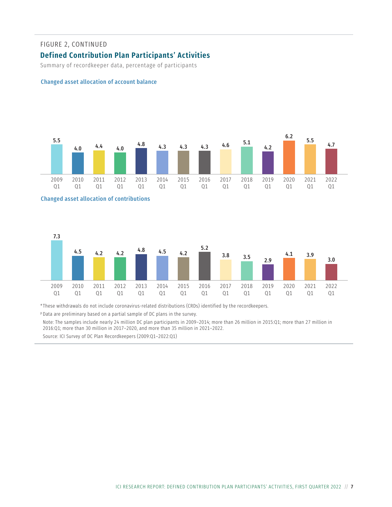#### FIGURE 2, CONTINUED

#### **Defined Contribution Plan Participants' Activities**

Summary of recordkeeper data, percentage of participants

#### Changed asset allocation of account balance







\* These withdrawals do not include coronavirus-related distributions (CRDs) identified by the recordkeepers.

<sup>p</sup> Data are preliminary based on a partial sample of DC plans in the survey.

Note: The samples include nearly 24 million DC plan participants in 2009–2014; more than 26 million in 2015:Q1; more than 27 million in 2016:Q1; more than 30 million in 2017–2020, and more than 35 million in 2021–2022.

Source: ICI Survey of DC Plan Recordkeepers (2009:Q1–2022:Q1)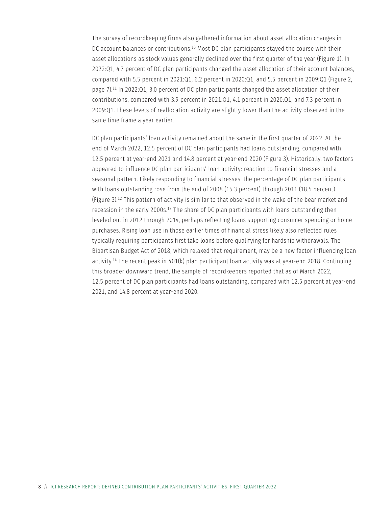<span id="page-11-0"></span>The survey of recordkeeping firms also gathered information about asset allocation changes in DC account balances or contributions.<sup>10</sup> Most DC plan participants stayed the course with their asset allocations as stock values generally declined over the first quarter of the year (Figure 1). In 2022:Q1, 4.7 percent of DC plan participants changed the asset allocation of their account balances, compared with 5.5 percent in 2021:Q1, 6.2 percent in 2020:Q1, and 5.5 percent in 2009:Q1 (Figure 2, page 7).[11](#page-16-0) In 2022:Q1, 3.0 percent of DC plan participants changed the asset allocation of their contributions, compared with 3.9 percent in 2021:Q1, 4.1 percent in 2020:Q1, and 7.3 percent in 2009:Q1. These levels of reallocation activity are slightly lower than the activity observed in the same time frame a year earlier.

DC plan participants' loan activity remained about the same in the first quarter of 2022. At the end of March 2022, 12.5 percent of DC plan participants had loans outstanding, compared with 12.5 percent at year-end 2021 and 14.8 percent at year-end 2020 (Figure 3). Historically, two factors appeared to influence DC plan participants' loan activity: reaction to financial stresses and a seasonal pattern. Likely responding to financial stresses, the percentage of DC plan participants with loans outstanding rose from the end of 2008 (15.3 percent) through 2011 (18.5 percent) (Figure 3).[12](#page-16-0) This pattern of activity is similar to that observed in the wake of the bear market and recession in the early 2000s.[13](#page-16-0) The share of DC plan participants with loans outstanding then leveled out in 2012 through 2014, perhaps reflecting loans supporting consumer spending or home purchases. Rising loan use in those earlier times of financial stress likely also reflected rules typically requiring participants first take loans before qualifying for hardship withdrawals. The Bipartisan Budget Act of 2018, which relaxed that requirement, may be a new factor influencing loan activity[.14](#page-16-0) The recent peak in 401(k) plan participant loan activity was at year-end 2018. Continuing this broader downward trend, the sample of recordkeepers reported that as of March 2022, 12.5 percent of DC plan participants had loans outstanding, compared with 12.5 percent at year-end 2021, and 14.8 percent at year-end 2020.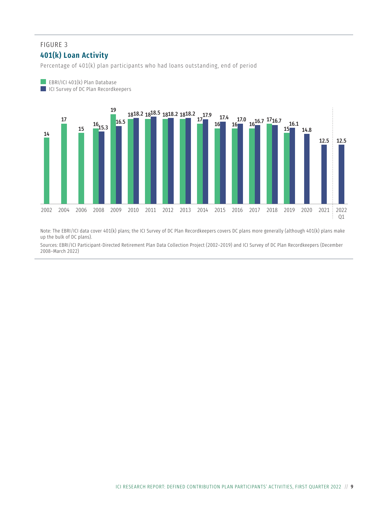#### FIGURE 3 **401(k) Loan Activity**

EBRI/ICI 401(k) Plan Database

Percentage of 401(k) plan participants who had loans outstanding, end of period



Note: The EBRI/ICI data cover 401(k) plans; the ICI Survey of DC Plan Recordkeepers covers DC plans more generally (although 401(k) plans make up the bulk of DC plans).

Sources: EBRI/ICI Participant-Directed Retirement Plan Data Collection Project (2002–2019) and ICI Survey of DC Plan Recordkeepers (December 2008–March 2022)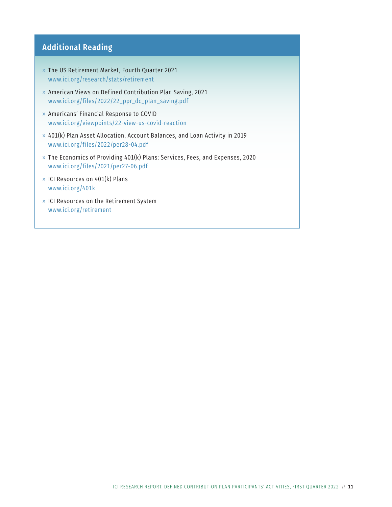#### **Additional Reading**

- » The US Retirement Market, Fourth Quarter 2021 [www.ici.org/research/stats/retirement](http://www.ici.org/research/stats/retirement)
- » American Views on Defined Contribution Plan Saving, 2021 [www.ici.org/files/2022/22\\_ppr\\_dc\\_plan\\_saving.pdf](http://www.ici.org/files/2022/22_ppr_dc_plan_saving.pdf)
- » Americans' Financial Response to COVID [www.ici.org/viewpoints/22-view-us-covid-reaction](http://www.ici.org/viewpoints/22-view-us-covid-reaction)
- » 401(k) Plan Asset Allocation, Account Balances, and Loan Activity in 2019 [www.ici.org/files/2022/per28-04.pdf](http://www.ici.org/files/2022/per28-04.pdf)
- » The Economics of Providing 401(k) Plans: Services, Fees, and Expenses, 2020 [www.ici.org/files/2021/per27-06.pdf](http://www.ici.org/files/2021/per27-06.pdf)
- » ICI Resources on 401(k) Plans [www.ici.org/401k](http://www.ici.org/401k)
- » ICI Resources on the Retirement System [www.ici.org/retirement](http://www.ici.org/retirement)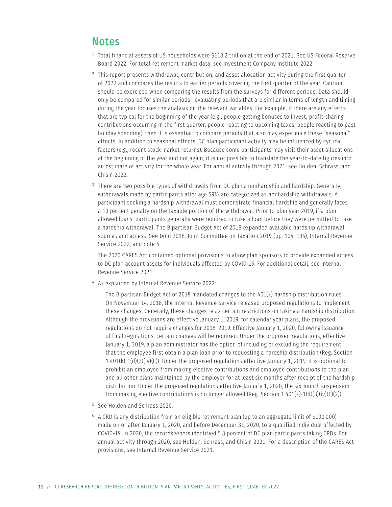### <span id="page-15-0"></span>**Notes**

- <sup>[1](#page-5-0)</sup> Total financial assets of US households were \$118.2 trillion at the end of 2021. See US Federal Reserve Board 2022. For total retirement market data, see Investment Company Institute 2022.
- $2$  This report presents withdrawal, contribution, and asset allocation activity during the first quarter of 2022 and compares the results to earlier periods covering the first quarter of the year. Caution should be exercised when comparing the results from the surveys for different periods. Data should only be compared for similar periods—evaluating periods that are similar in terms of length and timing during the year focuses the analysis on the relevant variables. For example, if there are any effects that are typical for the beginning of the year (e.g., people getting bonuses to invest, profit-sharing contributions occurring in the first quarter, people reacting to upcoming taxes, people reacting to past holiday spending), then it is essential to compare periods that also may experience these "seasonal" effects. In addition to seasonal effects, DC plan participant activity may be influenced by cyclical factors (e.g., recent stock market returns). Because some participants may visit their asset allocations at the beginning of the year and not again, it is not possible to translate the year-to-date figures into an estimate of activity for the whole year. For annual activity through 2021, see Holden, Schrass, and Chism 2022
- <sup>[3](#page-8-0)</sup> There are two possible types of withdrawals from DC plans: nonhardship and hardship. Generally, withdrawals made by participants after age 59½ are categorized as nonhardship withdrawals. A participant seeking a hardship withdrawal must demonstrate financial hardship and generally faces a 10 percent penalty on the taxable portion of the withdrawal. Prior to plan year 2019, if a plan allowed loans, participants generally were required to take a loan before they were permitted to take a hardship withdrawal. The Bipartisan Budget Act of 2018 expanded available hardship withdrawal sources and access. See Dold 2018, Joint Committee on Taxation 2019 (pp. 104–105), Internal Revenue Service 2022, and note 4.

The 2020 CARES Act contained optional provisions to allow plan sponsors to provide expanded access to DC plan account assets for individuals affected by COVID-19. For additional detail, see Internal Revenue Service 2021.

[4](#page-8-0) As explained by Internal Revenue Service 2022:

The Bipartisan Budget Act of 2018 mandated changes to the 401(k) hardship distribution rules. On November 14, 2018, the Internal Revenue Service released proposed regulations to implement these changes. Generally, these changes relax certain restrictions on taking a hardship distribution. Although the provisions are effective January 1, 2019, for calendar year plans, the proposed regulations do not require changes for 2018–2019. Effective January 1, 2020, following issuance of final regulations, certain changes will be required. Under the proposed regulations, effective January 1, 2019, a plan administrator has the option of including or excluding the requirement that the employee first obtain a plan loan prior to requesting a hardship distribution (Reg. Section  $1.401(k)-1(d)(3)(iv)(E)$ ). Under the proposed regulations effective January 1, 2019, it is optional to prohibit an employee from making elective contributions and employee contributions to the plan and all other plans maintained by the employer for at least six months after receipt of the hardship distribution. Under the proposed regulations effective January 1, 2020, the six-month suspension from making elective contributions is no longer allowed (Reg. Section 1.401(k)-1(d)(3)(iv)(E)(2)).

- [5](#page-8-0) See Holden and Schrass 2020.
- [6](#page-8-0) A CRD is any distribution from an eligible retirement plan (up to an aggregate limit of \$100,000) made on or after January 1, 2020, and before December 31, 2020, to a qualified individual affected by COVID-19. In 2020, the recordkeepers identified 5.8 percent of DC plan participants taking CRDs. For annual activity through 2020, see Holden, Schrass, and Chism 2021. For a description of the CARES Act provisions, see Internal Revenue Service 2021.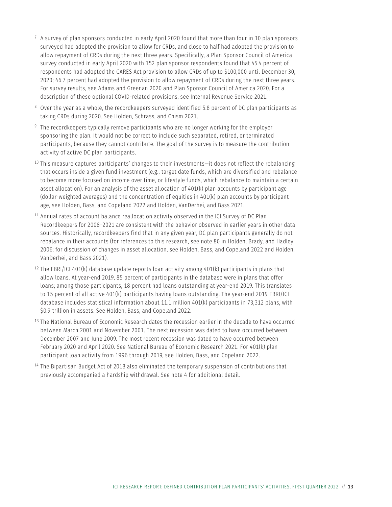- <span id="page-16-0"></span> $7\,$  $7\,$  A survey of plan sponsors conducted in early April 2020 found that more than four in 10 plan sponsors surveyed had adopted the provision to allow for CRDs, and close to half had adopted the provision to allow repayment of CRDs during the next three years. Specifically, a Plan Sponsor Council of America survey conducted in early April 2020 with 152 plan sponsor respondents found that 45.4 percent of respondents had adopted the CARES Act provision to allow CRDs of up to \$100,000 until December 30, 2020; 46.7 percent had adopted the provision to allow repayment of CRDs during the next three years. For survey results, see Adams and Greenan 2020 and Plan Sponsor Council of America 2020. For a description of these optional COVID-related provisions, see Internal Revenue Service 2021.
- [8](#page-8-0) Over the year as a whole, the recordkeepers surveyed identified 5.8 percent of DC plan participants as taking CRDs during 2020. See Holden, Schrass, and Chism 2021.
- <sup>[9](#page-8-0)</sup> The recordkeepers typically remove participants who are no longer working for the employer sponsoring the plan. It would not be correct to include such separated, retired, or terminated participants, because they cannot contribute. The goal of the survey is to measure the contribution activity of active DC plan participants.
- $10$  This measure captures participants' changes to their investments—it does not reflect the rebalancing that occurs inside a given fund investment (e.g., target date funds, which are diversified and rebalance to become more focused on income over time, or lifestyle funds, which rebalance to maintain a certain asset allocation). For an analysis of the asset allocation of 401(k) plan accounts by participant age (dollar-weighted averages) and the concentration of equities in 401(k) plan accounts by participant age, see Holden, Bass, and Copeland 2022 and Holden, VanDerhei, and Bass 2021.
- [11](#page-11-0) Annual rates of account balance reallocation activity observed in the ICI Survey of DC Plan Recordkeepers for 2008–2021 are consistent with the behavior observed in earlier years in other data sources. Historically, recordkeepers find that in any given year, DC plan participants generally do not rebalance in their accounts (for references to this research, see note 80 in Holden, Brady, and Hadley 2006; for discussion of changes in asset allocation, see Holden, Bass, and Copeland 2022 and Holden, VanDerhei, and Bass 2021).
- <sup>[12](#page-11-0)</sup> The EBRI/ICI 401(k) database update reports loan activity among 401(k) participants in plans that allow loans. At year-end 2019, 85 percent of participants in the database were in plans that offer loans; among those participants, 18 percent had loans outstanding at year-end 2019. This translates to 15 percent of all active 401(k) participants having loans outstanding. The year-end 2019 EBRI/ICI database includes statistical information about 11.1 million 401(k) participants in 73,312 plans, with \$0.9 trillion in assets. See Holden, Bass, and Copeland 2022.
- [13](#page-11-0) The National Bureau of Economic Research dates the recession earlier in the decade to have occurred between March 2001 and November 2001. The next recession was dated to have occurred between December 2007 and June 2009. The most recent recession was dated to have occurred between February 2020 and April 2020. See National Bureau of Economic Research 2021. For 401(k) plan participant loan activity from 1996 through 2019, see Holden, Bass, and Copeland 2022.
- <sup>[14](#page-11-0)</sup> The Bipartisan Budget Act of 2018 also eliminated the temporary suspension of contributions that previously accompanied a hardship withdrawal. See note 4 for additional detail.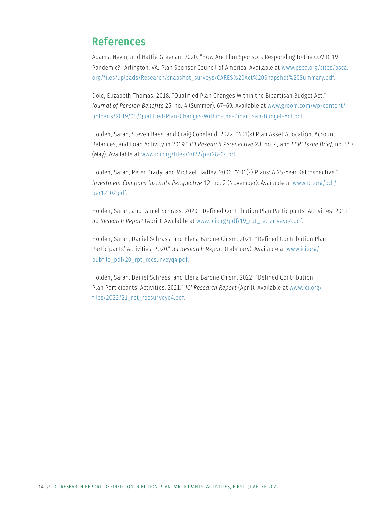### References

Adams, Nevin, and Hattie Greenan. 2020. "How Are Plan Sponsors Responding to the COVID-19 Pandemic?" Arlington, VA: Plan Sponsor Council of America. Available at [www.psca.org/sites/psca.](http://www.psca.org/sites/psca.org/files/uploads/Research/snapshot_surveys/CARES%20Act%20Snapshot%20Summary.pdf) [org/files/uploads/Research/snapshot\\_surveys/CARES%20Act%20Snapshot%20Summary.pdf](http://www.psca.org/sites/psca.org/files/uploads/Research/snapshot_surveys/CARES%20Act%20Snapshot%20Summary.pdf).

Dold, Elizabeth Thomas. 2018. "Qualified Plan Changes Within the Bipartisan Budget Act." *Journal of Pension Benefits* 25, no. 4 (Summer): 67–69. Available at [www.groom.com/wp-content/](http://www.groom.com/wp-content/uploads/2019/05/Qualified-Plan-Changes-Within-the-Bipartisan-Budget-Act.pdf) [uploads/2019/05/Qualified-Plan-Changes-Within-the-Bipartisan-Budget-Act.pdf](http://www.groom.com/wp-content/uploads/2019/05/Qualified-Plan-Changes-Within-the-Bipartisan-Budget-Act.pdf).

Holden, Sarah, Steven Bass, and Craig Copeland. 2022. "401(k) Plan Asset Allocation, Account Balances, and Loan Activity in 2019." *ICI Research Perspective* 28, no. 4, and *EBRI Issue Brief*, no. 557 (May). Available at [www.ici.org/files/2022/per28-04.pdf](http://www.ici.org/files/2022/per28-04.pdf).

Holden, Sarah, Peter Brady, and Michael Hadley. 2006. "401(k) Plans: A 25-Year Retrospective." *Investment Company Institute Perspective* 12, no. 2 (November). Available at [www.ici.org/pdf/](http://www.ici.org/pdf/per12-02.pdf) [per12-02.pdf](http://www.ici.org/pdf/per12-02.pdf).

Holden, Sarah, and Daniel Schrass. 2020. "Defined Contribution Plan Participants' Activities, 2019." *ICI Research Report* (April). Available at [www.ici.org/pdf/19\\_rpt\\_recsurveyq4.pdf.](http://www.ici.org/pdf/19_rpt_recsurveyq4.pdf)

Holden, Sarah, Daniel Schrass, and Elena Barone Chism. 2021. "Defined Contribution Plan Participants' Activities, 2020." *ICI Research Report* (February). Available at [www.ici.org/](http://www.ici.org/pubfile_pdf/20_rpt_recsurveyq4.pdf) [pubfile\\_pdf/20\\_rpt\\_recsurveyq4.pdf.](http://www.ici.org/pubfile_pdf/20_rpt_recsurveyq4.pdf)

Holden, Sarah, Daniel Schrass, and Elena Barone Chism. 2022. "Defined Contribution Plan Participants' Activities, 2021." *ICI Research Report* (April). Available at [www.ici.org/](http://www.ici.org/files/2022/21_rpt_recsurveyq4.pdf) [files/2022/21\\_rpt\\_recsurveyq4.pdf.](http://www.ici.org/files/2022/21_rpt_recsurveyq4.pdf)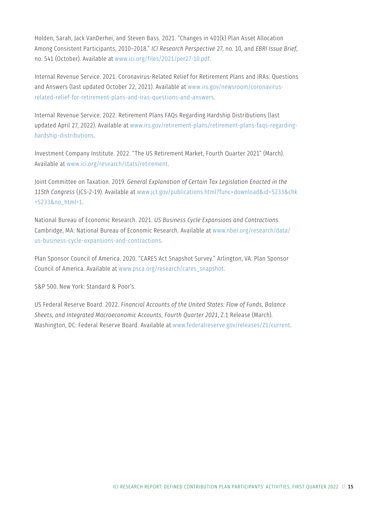Holden, Sarah, Jack VanDerhei, and Steven Bass. 2021. "Changes in 401(k) Plan Asset Allocation Among Consistent Participants, 2010–2018." *ICI Research Perspective* 27, no. 10, and *EBRI Issue Brief*, no. 541 (October). Available at [www.ici.org/files/2021/per27-10.pdf](http://www.ici.org/files/2021/per27-10.pdf).

Internal Revenue Service. 2021. Coronavirus-Related Relief for Retirement Plans and IRAs: Questions and Answers (last updated October 22, 2021). Available at [www.irs.gov/newsroom/coronavirus](http://www.irs.gov/newsroom/coronavirus-related-relief-for-retirement-plans-and-iras-questions-and-answers)[related-relief-for-retirement-plans-and-iras-questions-and-answers](http://www.irs.gov/newsroom/coronavirus-related-relief-for-retirement-plans-and-iras-questions-and-answers).

Internal Revenue Service. 2022. Retirement Plans FAQs Regarding Hardship Distributions (last updated April 27, 2022). Available at [www.irs.gov/retirement-plans/retirement-plans-faqs-regarding](http://www.irs.gov/retirement-plans/retirement-plans-faqs-regarding-hardship-distributions)[hardship-distributions.](http://www.irs.gov/retirement-plans/retirement-plans-faqs-regarding-hardship-distributions)

Investment Company Institute. 2022. "The US Retirement Market, Fourth Quarter 2021" (March). Available at [www.ici.org/research/stats/retirement.](http://www.ici.org/research/stats/retirement)

Joint Committee on Taxation. 2019. *General Explanation of Certain Tax Legislation Enacted in the 115th Congress* (JCS-2-19). Available at [www.jct.gov/publications.html?func=download&id=5233&chk](http://www.jct.gov/publications.html?func=download&id=5233&chk=5233&no_html=1) [=5233&no\\_html=1.](http://www.jct.gov/publications.html?func=download&id=5233&chk=5233&no_html=1)

National Bureau of Economic Research. 2021. *US Business Cycle Expansions and Contractions*. Cambridge, MA: National Bureau of Economic Research. Available at [www.nber.org/research/data/](http://www.nber.org/research/data/us-business-cycle-expansions-and-contractions) [us-business-cycle-expansions-and-contractions](http://www.nber.org/research/data/us-business-cycle-expansions-and-contractions).

Plan Sponsor Council of America. 2020. "CARES Act Snapshot Survey." Arlington, VA: Plan Sponsor Council of America. Available at [www.psca.org/research/cares\\_snapshot.](http://www.psca.org/research/cares_snapshot)

S&P 500. New York: Standard & Poor's.

US Federal Reserve Board. 2022. *Financial Accounts of the United States: Flow of Funds, Balance Sheets, and Integrated Macroeconomic Accounts, Fourth Quarter 2021*, Z.1 Release (March). Washington, DC: Federal Reserve Board. Available at [www.federalreserve.gov/releases/Z1/current.](http://www.federalreserve.gov/releases/Z1/current)